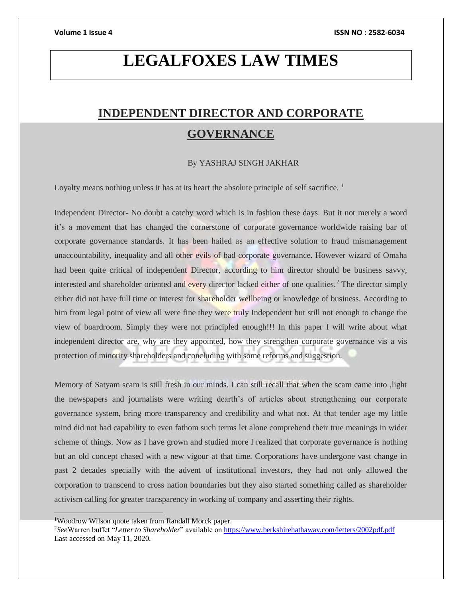# **LEGALFOXES LAW TIMES**

# **INDEPENDENT DIRECTOR AND CORPORATE GOVERNANCE**

## By YASHRAJ SINGH JAKHAR

Loyalty means nothing unless it has at its heart the absolute principle of self sacrifice.<sup>1</sup>

Independent Director- No doubt a catchy word which is in fashion these days. But it not merely a word it's a movement that has changed the cornerstone of corporate governance worldwide raising bar of corporate governance standards. It has been hailed as an effective solution to fraud mismanagement unaccountability, inequality and all other evils of bad corporate governance. However wizard of Omaha had been quite critical of independent Director, according to him director should be business savvy, interested and shareholder oriented and every director lacked either of one qualities.<sup>2</sup> The director simply either did not have full time or interest for shareholder wellbeing or knowledge of business. According to him from legal point of view all were fine they were truly Independent but still not enough to change the view of boardroom. Simply they were not principled enough!!! In this paper I will write about what independent director are, why are they appointed, how they strengthen corporate governance vis a vis protection of minority shareholders and concluding with some reforms and suggestion.

Memory of Satyam scam is still fresh in our minds. I can still recall that when the scam came into ,light the newspapers and journalists were writing dearth's of articles about strengthening our corporate governance system, bring more transparency and credibility and what not. At that tender age my little mind did not had capability to even fathom such terms let alone comprehend their true meanings in wider scheme of things. Now as I have grown and studied more I realized that corporate governance is nothing but an old concept chased with a new vigour at that time. Corporations have undergone vast change in past 2 decades specially with the advent of institutional investors, they had not only allowed the corporation to transcend to cross nation boundaries but they also started something called as shareholder activism calling for greater transparency in working of company and asserting their rights.

<sup>1</sup>Woodrow Wilson quote taken from Randall Morck paper.

<sup>2</sup>*See*Warren buffet "*Letter to Shareholder*" available o[n https://www.berkshirehathaway.com/letters/2002pdf.pdf](https://www.berkshirehathaway.com/letters/2002pdf.pdf) Last accessed on May 11, 2020.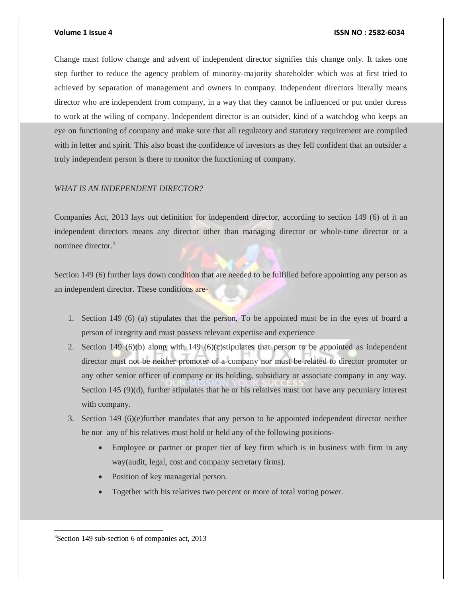Change must follow change and advent of independent director signifies this change only. It takes one step further to reduce the agency problem of minority-majority shareholder which was at first tried to achieved by separation of management and owners in company. Independent directors literally means director who are independent from company, in a way that they cannot be influenced or put under duress to work at the wiling of company. Independent director is an outsider, kind of a watchdog who keeps an eye on functioning of company and make sure that all regulatory and statutory requirement are compiled with in letter and spirit. This also boast the confidence of investors as they fell confident that an outsider a truly independent person is there to monitor the functioning of company.

# *WHAT IS AN INDEPENDENT DIRECTOR?*

Companies Act, 2013 lays out definition for independent director, according to section 149 (6) of it an independent directors means any director other than managing director or whole-time director or a nominee director.<sup>3</sup>

Section 149 (6) further lays down condition that are needed to be fulfilled before appointing any person as an independent director. These conditions are-

- 1. Section 149 (6) (a) stipulates that the person, To be appointed must be in the eyes of board a person of integrity and must possess relevant expertise and experience
- 2. Section 149  $(6)(b)$  along with 149  $(6)(c)$ stipulates that person to be appointed as independent director must not be neither promoter of a company nor must be related to director promoter or any other senior officer of company or its holding, subsidiary or associate company in any way. Section 145 (9)(d), further stipulates that he or his relatives must not have any pecuniary interest with company.
- 3. Section 149 (6)(e)further mandates that any person to be appointed independent director neither he nor any of his relatives must hold or held any of the following positions-
	- Employee or partner or proper tier of key firm which is in business with firm in any way(audit, legal, cost and company secretary firms).
	- Position of key managerial person.
	- Together with his relatives two percent or more of total voting power.

 $\overline{a}$ 

<sup>3</sup>Section 149 sub-section 6 of companies act, 2013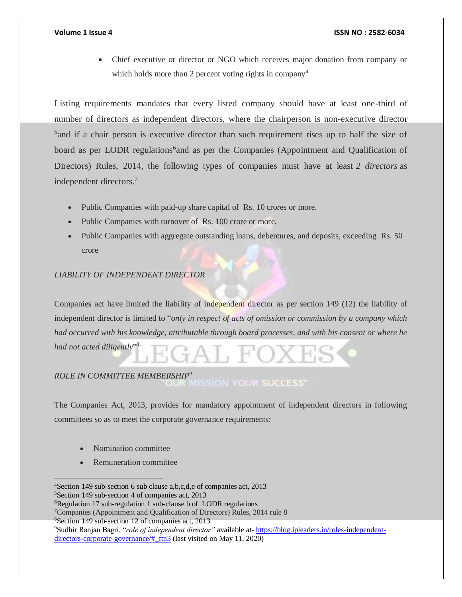Chief executive or director or NGO which receives major donation from company or which holds more than 2 percent voting rights in company<sup>4</sup>

Listing requirements mandates that every listed company should have at least one-third of number of directors as independent directors, where the chairperson is non-executive director <sup>5</sup> and if a chair person is executive director than such requirement rises up to half the size of board as per LODR regulations<sup>6</sup>and as per the Companies (Appointment and Qualification of Directors) Rules, 2014, the following types of companies must have at least *2 directors* as independent directors.<sup>7</sup>

- Public Companies with paid-up share capital of Rs. 10 crores or more.
- Public Companies with turnover of Rs. 100 crore or more.
- Public Companies with aggregate outstanding loans, debentures, and deposits, exceeding Rs. 50 crore

# *LIABILITY OF INDEPENDENT DIRECTOR*

Companies act have limited the liability of independent director as per section 149 (12) the liability of independent director is limited to "*only in respect of acts of omission or commission by a company which had occurred with his knowledge, attributable through board processes, and with his consent or where he had not acted diligently*" 8

# *ROLE IN COMMITTEE MEMBERSHIP<sup>9</sup>*

The Companies Act, 2013, provides for mandatory appointment of independent directors in following committees so as to meet the corporate governance requirements:

Nomination committee

 $\overline{a}$ 

Remuneration committee

<sup>5</sup>Section 149 sub-section 4 of companies act, 2013

<sup>8</sup>Section 149 sub-section 12 of companies act, 2013

<sup>4</sup>Section 149 sub-section 6 sub clause a,b,c,d,e of companies act, 2013

<sup>6</sup>Regulation 17 sub-regulation 1 sub-clause b of LODR regulations

<sup>7</sup>Companies (Appointment and Qualification of Directors) Rules, 2014 rule 8

<sup>9</sup>Sudhir Ranjan Bagri, "*role of independent director"* available at- [https://blog.ipleaders.in/roles-independent](https://blog.ipleaders.in/roles-independent-directors-corporate-governance/#_ftn3)[directors-corporate-governance/#\\_ftn3](https://blog.ipleaders.in/roles-independent-directors-corporate-governance/#_ftn3) (last visited on May 11, 2020)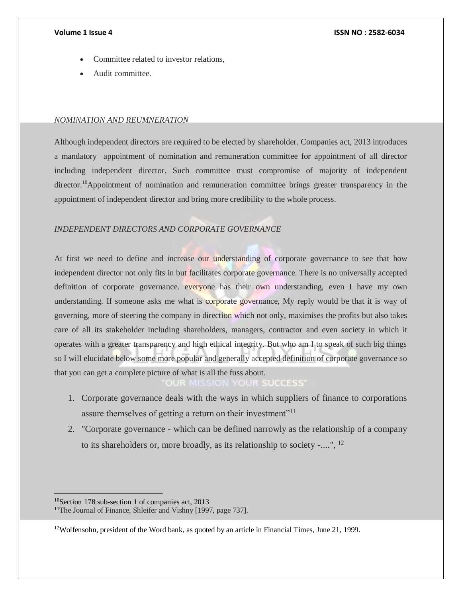- Committee related to investor relations,
- Audit committee.

# *NOMINATION AND REUMNERATION*

Although independent directors are required to be elected by shareholder. Companies act, 2013 introduces a mandatory appointment of nomination and remuneration committee for appointment of all director including independent director. Such committee must compromise of majority of independent director.<sup>10</sup>Appointment of nomination and remuneration committee brings greater transparency in the appointment of independent director and bring more credibility to the whole process.

# *INDEPENDENT DIRECTORS AND CORPORATE GOVERNANCE*

At first we need to define and increase our understanding of corporate governance to see that how independent director not only fits in but facilitates corporate governance. There is no universally accepted definition of corporate governance. everyone has their own understanding, even I have my own understanding. If someone asks me what is corporate governance, My reply would be that it is way of governing, more of steering the company in direction which not only, maximises the profits but also takes care of all its stakeholder including shareholders, managers, contractor and even society in which it operates with a greater transparency and high ethical integrity. But who am I to speak of such big things so I will elucidate below some more popular and generally accepted definition of corporate governance so that you can get a complete picture of what is all the fuss about.

> **AISSION YOUR SUCCESS**  $0.16$

- 1. Corporate governance deals with the ways in which suppliers of finance to corporations assure themselves of getting a return on their investment"<sup>11</sup>
- 2. "Corporate governance which can be defined narrowly as the relationship of a company to its shareholders or, more broadly, as its relationship to society -....", <sup>12</sup>

<sup>10</sup>Section 178 sub-section 1 of companies act, 2013 <sup>11</sup>The Journal of Finance, Shleifer and Vishny [1997, page 737].

 $\overline{a}$ 

<sup>12</sup>Wolfensohn, president of the Word bank, as quoted by an article in Financial Times, June 21, 1999.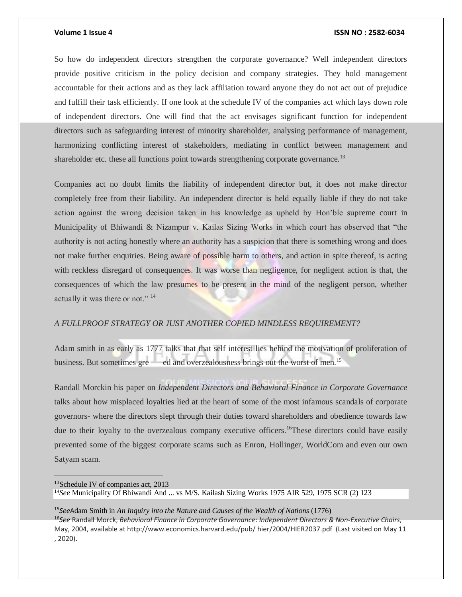$\overline{a}$ 

### **Volume 1 Issue 4 ISSN NO : 2582-6034**

So how do independent directors strengthen the corporate governance? Well independent directors provide positive criticism in the policy decision and company strategies. They hold management accountable for their actions and as they lack affiliation toward anyone they do not act out of prejudice and fulfill their task efficiently. If one look at the schedule IV of the companies act which lays down role of independent directors. One will find that the act envisages significant function for independent directors such as safeguarding interest of minority shareholder, analysing performance of management, harmonizing conflicting interest of stakeholders, mediating in conflict between management and shareholder etc. these all functions point towards strengthening corporate governance.<sup>13</sup>

Companies act no doubt limits the liability of independent director but, it does not make director completely free from their liability. An independent director is held equally liable if they do not take action against the wrong decision taken in his knowledge as upheld by Hon'ble supreme court in Municipality of Bhiwandi & Nizampur v. Kailas Sizing Works in which court has observed that "the authority is not acting honestly where an authority has a suspicion that there is something wrong and does not make further enquiries. Being aware of possible harm to others, and action in spite thereof, is acting with reckless disregard of consequences. It was worse than negligence, for negligent action is that, the consequences of which the law presumes to be present in the mind of the negligent person, whether actually it was there or not."<sup>14</sup>

# *A FULLPROOF STRATEGY OR JUST ANOTHER COPIED MINDLESS REQUIREMENT?*

Adam smith in as early as 1777 talks that that self interest lies behind the motivation of proliferation of business. But sometimes gre ed and overzealousness brings out the worst of men.<sup>15</sup>

Randall Morckin his paper on *Independent Directors and Behavioral Finance in Corporate Governance*  talks about how misplaced loyalties lied at the heart of some of the most infamous scandals of corporate governors- where the directors slept through their duties toward shareholders and obedience towards law due to their loyalty to the overzealous company executive officers.<sup>16</sup>These directors could have easily prevented some of the biggest corporate scams such as Enron, Hollinger, WorldCom and even our own Satyam scam.

<sup>15</sup>*See*Adam Smith in *An Inquiry into the Nature and Causes of the Wealth of Nations* (1776) <sup>16</sup>*See* Randall Morck, *Behavioral Finance in Corporate Governance*: *Independent Directors & Non-Executive Chairs*, May, 2004, available at http://www.economics.harvard.edu/pub/ hier/2004/HIER2037.pdf (Last visited on May 11 , 2020).

<sup>13</sup>Schedule IV of companies act, 2013 <sup>14</sup>*See* Municipality Of Bhiwandi And ... vs M/S. Kailash Sizing Works 1975 AIR 529, 1975 SCR (2) 123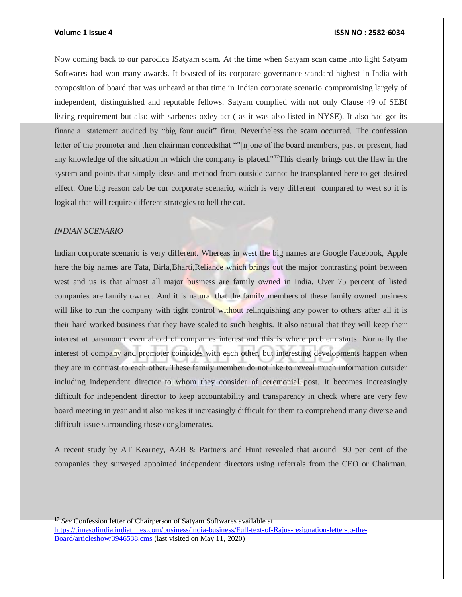Now coming back to our parodica lSatyam scam. At the time when Satyam scan came into light Satyam Softwares had won many awards. It boasted of its corporate governance standard highest in India with composition of board that was unheard at that time in Indian corporate scenario compromising largely of independent, distinguished and reputable fellows. Satyam complied with not only Clause 49 of SEBI listing requirement but also with sarbenes-oxley act ( as it was also listed in NYSE). It also had got its financial statement audited by "big four audit" firm. Nevertheless the scam occurred. The confession letter of the promoter and then chairman concedsthat ""[n]one of the board members, past or present, had any knowledge of the situation in which the company is placed."<sup>17</sup>This clearly brings out the flaw in the system and points that simply ideas and method from outside cannot be transplanted here to get desired effect. One big reason cab be our corporate scenario, which is very different compared to west so it is logical that will require different strategies to bell the cat.

# *INDIAN SCENARIO*

Indian corporate scenario is very different. Whereas in west the big names are Google Facebook, Apple here the big names are Tata, Birla, Bharti, Reliance which brings out the major contrasting point between west and us is that almost all major business are family owned in India. Over 75 percent of listed companies are family owned. And it is natural that the family members of these family owned business will like to run the company with tight control without relinquishing any power to others after all it is their hard worked business that they have scaled to such heights. It also natural that they will keep their interest at paramount even ahead of companies interest and this is where problem starts. Normally the interest of company and promoter coincides with each other, but interesting developments happen when they are in contrast to each other. These family member do not like to reveal much information outsider including independent director to whom they consider of ceremonial post. It becomes increasingly difficult for independent director to keep accountability and transparency in check where are very few board meeting in year and it also makes it increasingly difficult for them to comprehend many diverse and difficult issue surrounding these conglomerates.

A recent study by AT Kearney, AZB & Partners and Hunt revealed that around 90 per cent of the companies they surveyed appointed independent directors using referrals from the CEO or Chairman.

<sup>17</sup> *See* Confession letter of Chairperson of Satyam Softwares available at [https://timesofindia.indiatimes.com/business/india-business/Full-text-of-Rajus-resignation-letter-to-the-](https://timesofindia.indiatimes.com/business/india-business/Full-text-of-Rajus-resignation-letter-to-the-Board/articleshow/3946538.cms)[Board/articleshow/3946538.cms](https://timesofindia.indiatimes.com/business/india-business/Full-text-of-Rajus-resignation-letter-to-the-Board/articleshow/3946538.cms) (last visited on May 11, 2020)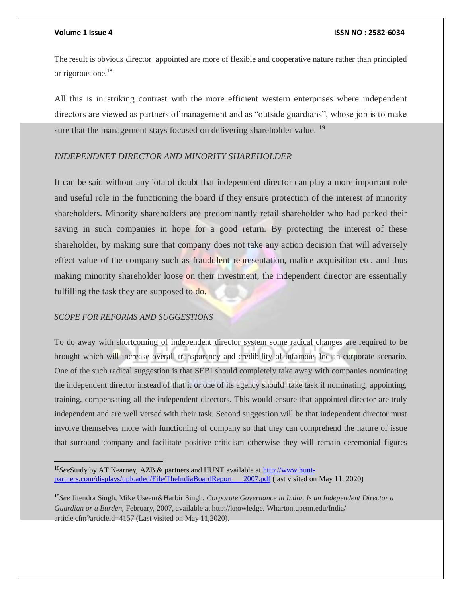The result is obvious director appointed are more of flexible and cooperative nature rather than principled or rigorous one.<sup>18</sup>

All this is in striking contrast with the more efficient western enterprises where independent directors are viewed as partners of management and as "outside guardians", whose job is to make sure that the management stays focused on delivering shareholder value.<sup>19</sup>

# *INDEPENDNET DIRECTOR AND MINORITY SHAREHOLDER*

It can be said without any iota of doubt that independent director can play a more important role and useful role in the functioning the board if they ensure protection of the interest of minority shareholders. Minority shareholders are predominantly retail shareholder who had parked their saving in such companies in hope for a good return. By protecting the interest of these shareholder, by making sure that company does not take any action decision that will adversely effect value of the company such as fraudulent representation, malice acquisition etc. and thus making minority shareholder loose on their investment, the independent director are essentially fulfilling the task they are supposed to do.

# *SCOPE FOR REFORMS AND SUGGESTIONS*

 $\overline{a}$ 

To do away with shortcoming of independent director system some radical changes are required to be brought which will increase overall transparency and credibility of infamous Indian corporate scenario. One of the such radical suggestion is that SEBI should completely take away with companies nominating the independent director instead of that it or one of its agency should take task if nominating, appointing, training, compensating all the independent directors. This would ensure that appointed director are truly independent and are well versed with their task. Second suggestion will be that independent director must involve themselves more with functioning of company so that they can comprehend the nature of issue that surround company and facilitate positive criticism otherwise they will remain ceremonial figures

18*See*Study by AT Kearney, AZB & partners and HUNT available a[t http://www.hunt](http://www.hunt-partners.com/displays/uploaded/File/TheIndiaBoardReport___2007.pdf)[partners.com/displays/uploaded/File/TheIndiaBoardReport\\_\\_\\_2007.pdf](http://www.hunt-partners.com/displays/uploaded/File/TheIndiaBoardReport___2007.pdf) (last visited on May 11, 2020)

<sup>19</sup>*See* Jitendra Singh, Mike Useem&Harbir Singh, *Corporate Governance in India*: *Is an Independent Director a Guardian or a Burden*, February, 2007, available at http://knowledge. Wharton.upenn.edu/India/ article.cfm?articleid=4157 (Last visited on May 11,2020).